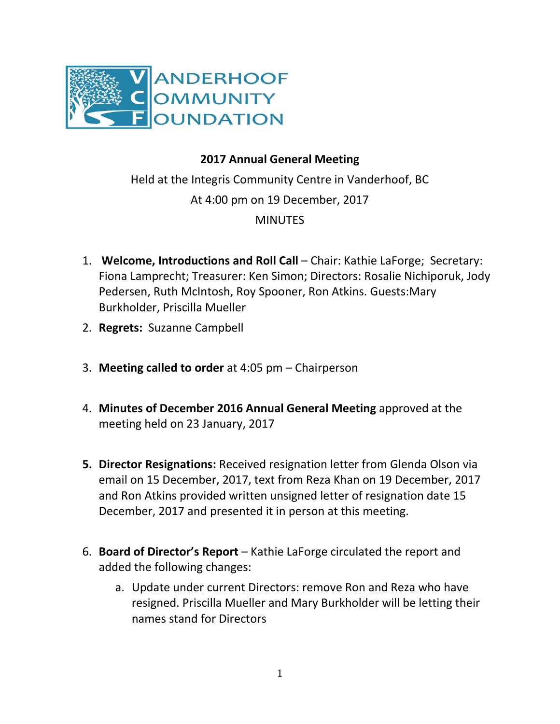

## **2017 Annual General Meeting**

Held at the Integris Community Centre in Vanderhoof, BC At 4:00 pm on 19 December, 2017 **MINUTES** 

- 1. **Welcome, Introductions and Roll Call** Chair: Kathie LaForge; Secretary: Fiona Lamprecht; Treasurer: Ken Simon; Directors: Rosalie Nichiporuk, Jody Pedersen, Ruth McIntosh, Roy Spooner, Ron Atkins. Guests:Mary Burkholder, Priscilla Mueller
- 2. **Regrets:** Suzanne Campbell
- 3. **Meeting called to order** at 4:05 pm Chairperson
- 4. **Minutes of December 2016 Annual General Meeting** approved at the meeting held on 23 January, 2017
- **5. Director Resignations:** Received resignation letter from Glenda Olson via email on 15 December, 2017, text from Reza Khan on 19 December, 2017 and Ron Atkins provided written unsigned letter of resignation date 15 December, 2017 and presented it in person at this meeting.
- 6. **Board of Director's Report** Kathie LaForge circulated the report and added the following changes:
	- a. Update under current Directors: remove Ron and Reza who have resigned. Priscilla Mueller and Mary Burkholder will be letting their names stand for Directors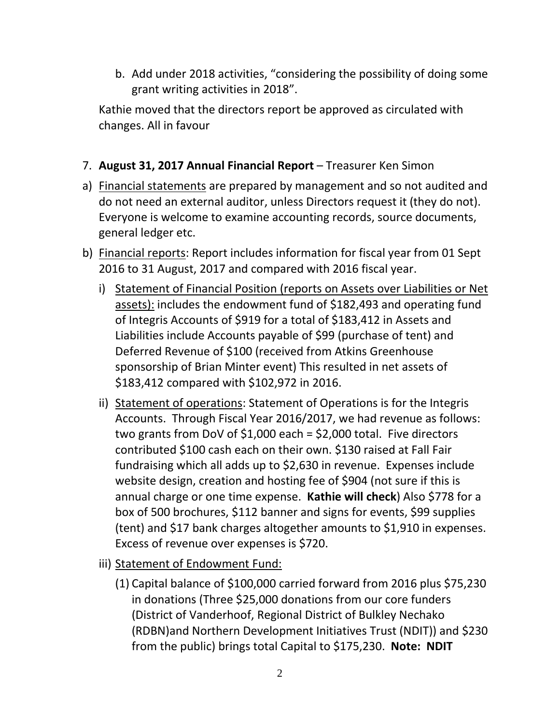b. Add under 2018 activities, "considering the possibility of doing some grant writing activities in 2018".

Kathie moved that the directors report be approved as circulated with changes. All in favour

## 7. **August 31, 2017 Annual Financial Report** – Treasurer Ken Simon

- a) Financial statements are prepared by management and so not audited and do not need an external auditor, unless Directors request it (they do not). Everyone is welcome to examine accounting records, source documents, general ledger etc.
- b) Financial reports: Report includes information for fiscal year from 01 Sept 2016 to 31 August, 2017 and compared with 2016 fiscal year.
	- i) Statement of Financial Position (reports on Assets over Liabilities or Net assets): includes the endowment fund of \$182,493 and operating fund of Integris Accounts of \$919 for a total of \$183,412 in Assets and Liabilities include Accounts payable of \$99 (purchase of tent) and Deferred Revenue of \$100 (received from Atkins Greenhouse sponsorship of Brian Minter event) This resulted in net assets of \$183,412 compared with \$102,972 in 2016.
	- ii) Statement of operations: Statement of Operations is for the Integris Accounts. Through Fiscal Year 2016/2017, we had revenue as follows: two grants from DoV of \$1,000 each = \$2,000 total. Five directors contributed \$100 cash each on their own. \$130 raised at Fall Fair fundraising which all adds up to \$2,630 in revenue. Expenses include website design, creation and hosting fee of \$904 (not sure if this is annual charge or one time expense. **Kathie will check**) Also \$778 for a box of 500 brochures, \$112 banner and signs for events, \$99 supplies (tent) and \$17 bank charges altogether amounts to \$1,910 in expenses. Excess of revenue over expenses is \$720.
	- iii) Statement of Endowment Fund:
		- (1) Capital balance of \$100,000 carried forward from 2016 plus \$75,230 in donations (Three \$25,000 donations from our core funders (District of Vanderhoof, Regional District of Bulkley Nechako (RDBN)and Northern Development Initiatives Trust (NDIT)) and \$230 from the public) brings total Capital to \$175,230. **Note: NDIT**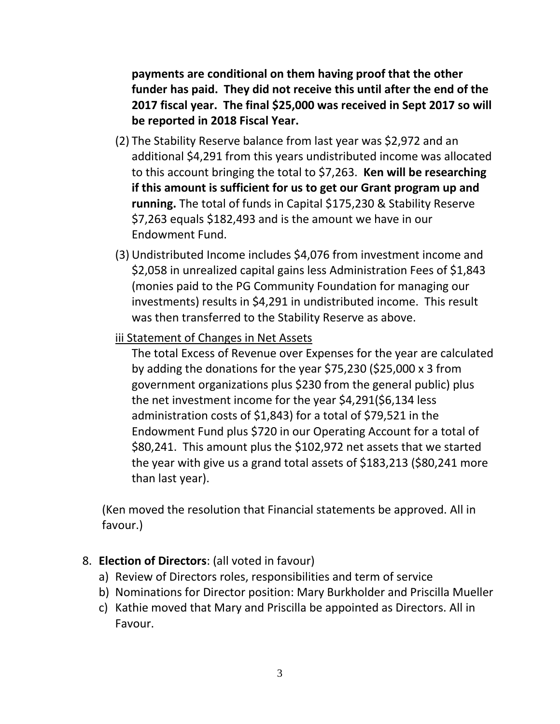**payments are conditional on them having proof that the other funder has paid. They did not receive this until after the end of the 2017 fiscal year. The final \$25,000 was received in Sept 2017 so will be reported in 2018 Fiscal Year.**

- (2) The Stability Reserve balance from last year was \$2,972 and an additional \$4,291 from this years undistributed income was allocated to this account bringing the total to \$7,263. **Ken will be researching if this amount is sufficient for us to get our Grant program up and running.** The total of funds in Capital \$175,230 & Stability Reserve \$7,263 equals \$182,493 and is the amount we have in our Endowment Fund.
- (3) Undistributed Income includes \$4,076 from investment income and \$2,058 in unrealized capital gains less Administration Fees of \$1,843 (monies paid to the PG Community Foundation for managing our investments) results in \$4,291 in undistributed income. This result was then transferred to the Stability Reserve as above.
- iii Statement of Changes in Net Assets

The total Excess of Revenue over Expenses for the year are calculated by adding the donations for the year \$75,230 (\$25,000 x 3 from government organizations plus \$230 from the general public) plus the net investment income for the year \$4,291(\$6,134 less administration costs of \$1,843) for a total of \$79,521 in the Endowment Fund plus \$720 in our Operating Account for a total of \$80,241. This amount plus the \$102,972 net assets that we started the year with give us a grand total assets of \$183,213 (\$80,241 more than last year).

(Ken moved the resolution that Financial statements be approved. All in favour.)

## 8. **Election of Directors**: (all voted in favour)

- a) Review of Directors roles, responsibilities and term of service
- b) Nominations for Director position: Mary Burkholder and Priscilla Mueller
- c) Kathie moved that Mary and Priscilla be appointed as Directors. All in Favour.